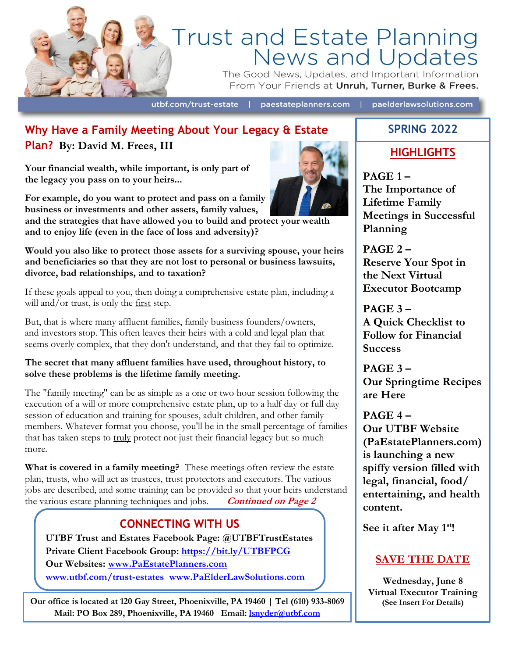

# Trust and Estate Planning<br>News and Updates

The Good News, Updates, and Important Information From Your Friends at Unruh, Turner, Burke & Frees.

utbf.com/trust-estate |

paestateplanners.com | paelderlawsolutions.com

# **Why Have a Family Meeting About Your Legacy & Estate Plan? By: David M. Frees, III**

**Your financial wealth, while important, is only part of the legacy you pass on to your heirs...**

**For example, do you want to protect and pass on a family business or investments and other assets, family values,**

**and the strategies that have allowed you to build and protect your wealth and to enjoy life (even in the face of loss and adversity)?**

**Would you also like to protect those assets for a surviving spouse, your heirs and beneficiaries so that they are not lost to personal or business lawsuits, divorce, bad relationships, and to taxation?**

If these goals appeal to you, then doing a comprehensive estate plan, including a will and/or trust, is only the  $first$  step.

But, that is where many affluent families, family business founders/owners, and investors stop. This often leaves their heirs with a cold and legal plan that seems overly complex, that they don't understand, and that they fail to optimize.

#### **The secret that many affluent families have used, throughout history, to solve these problems is the lifetime family meeting.**

The "family meeting" can be as simple as a one or two hour session following the execution of a will or more comprehensive estate plan, up to a half day or full day session of education and training for spouses, adult children, and other family members. Whatever format you choose, you'll be in the small percentage of families that has taken steps to truly protect not just their financial legacy but so much more.

**What is covered in a family meeting?** These meetings often review the estate plan, trusts, who will act as trustees, trust protectors and executors. The various jobs are described, and some training can be provided so that your heirs understand the various estate planning techniques and jobs. **Continued on Page 2**

# **CONNECTING WITH US**

**UTBF Trust and Estates Facebook Page: @UTBFTrustEstates Private Client Facebook Group: <https://bit.ly/UTBFPCG> Our Websites: [www.PaEstatePlanners.com](http://www.paestateplanners.com/)  [www.utbf.com/trust-estates](http://www.utbf.com/trust-estates) [www.PaElderLawSolutions.com](http://www.paelderlawsolutions.com/)** 

 **Mail: PO Box 289, Phoenixville, PA 19460 Email: [lsnyder@utbf.com](mailto:lsnyder@utbf.com)Our office is located at 120 Gay Street, Phoenixville, PA 19460 | Tel (610) 933-8069** 



# **SPRING 2022**

# **HIGHLIGHTS**

**PAGE 1 – The Importance of Lifetime Family Meetings in Successful Planning**

**PAGE 2 – Reserve Your Spot in the Next Virtual Executor Bootcamp**

**PAGE 3 – A Quick Checklist to Follow for Financial Success**

**PAGE 3 – Our Springtime Recipes are Here** 

**PAGE 4 – Our UTBF Website (PaEstatePlanners.com) is launching a new spiffy version filled with legal, financial, food/ entertaining, and health content.** 

**See it after May 1st!**

## **SAVE THE DATE**

**Wednesday, June 8 Virtual Executor Training**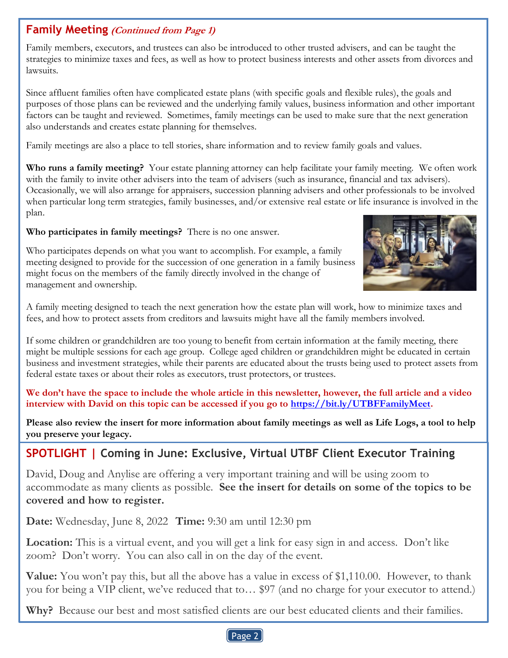## **Family Meeting (Continued from Page 1)**

Family members, executors, and trustees can also be introduced to other trusted advisers, and can be taught the strategies to minimize taxes and fees, as well as how to protect business interests and other assets from divorces and lawsuits.

Since affluent families often have complicated estate plans (with specific goals and flexible rules), the goals and purposes of those plans can be reviewed and the underlying family values, business information and other important factors can be taught and reviewed. Sometimes, family meetings can be used to make sure that the next generation also understands and creates estate planning for themselves.

Family meetings are also a place to tell stories, share information and to review family goals and values.

**Who runs a family meeting?** Your estate planning attorney can help facilitate your family meeting. We often work with the family to invite other advisers into the team of advisers (such as insurance, financial and tax advisers). Occasionally, we will also arrange for appraisers, succession planning advisers and other professionals to be involved when particular long term strategies, family businesses, and/or extensive real estate or life insurance is involved in the plan.

#### **Who participates in family meetings?** There is no one answer.



Who participates depends on what you want to accomplish. For example, a family meeting designed to provide for the succession of one generation in a family business might focus on the members of the family directly involved in the change of management and ownership.

A family meeting designed to teach the next generation how the estate plan will work, how to minimize taxes and fees, and how to protect assets from creditors and lawsuits might have all the family members involved.

If some children or grandchildren are too young to benefit from certain information at the family meeting, there might be multiple sessions for each age group. College aged children or grandchildren might be educated in certain business and investment strategies, while their parents are educated about the trusts being used to protect assets from federal estate taxes or about their roles as executors, trust protectors, or trustees.

**We don't have the space to include the whole article in this newsletter, however, the full article and a video interview with David on this topic can be accessed if you go to [https://bit.ly/UTBFFamilyMeet.](https://bit.ly/UTBFFamilyMeet)** 

**Please also review the insert for more information about family meetings as well as Life Logs, a tool to help you preserve your legacy.**

# **SPOTLIGHT | Coming in June: Exclusive, Virtual UTBF Client Executor Training**

David, Doug and Anylise are offering a very important training and will be using zoom to accommodate as many clients as possible. **See the insert for details on some of the topics to be covered and how to register.**

**Date:** Wednesday, June 8, 2022 **Time:** 9:30 am until 12:30 pm

**Location:** This is a virtual event, and you will get a link for easy sign in and access. Don't like zoom? Don't worry. You can also call in on the day of the event.

**Value:** You won't pay this, but all the above has a value in excess of \$1,110.00. However, to thank you for being a VIP client, we've reduced that to… \$97 (and no charge for your executor to attend.)

**Why?** Because our best and most satisfied clients are our best educated clients and their families.

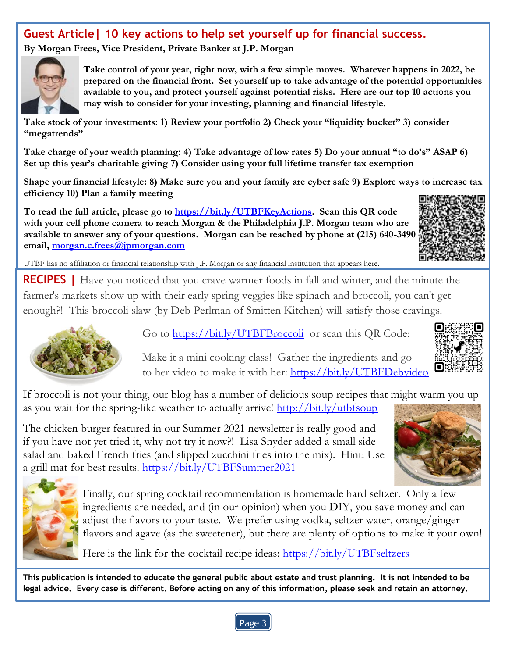# **Guest Article| 10 key actions to help set yourself up for financial success.**

**By Morgan Frees, Vice President, Private Banker at J.P. Morgan**



**Take control of your year, right now, with a few simple moves. Whatever happens in 2022, be prepared on the financial front. Set yourself up to take advantage of the potential opportunities available to you, and protect yourself against potential risks. Here are our top 10 actions you may wish to consider for your investing, planning and financial lifestyle.**

**Take stock of your investments: 1) Review your portfolio 2) Check your "liquidity bucket" 3) consider "megatrends"**

**Take charge of your wealth planning: 4) Take advantage of low rates 5) Do your annual "to do's" ASAP 6) Set up this year's charitable giving 7) Consider using your full lifetime transfer tax exemption**

**Shape your financial lifestyle: 8) Make sure you and your family are cyber safe 9) Explore ways to increase tax efficiency 10) Plan a family meeting**

**To read the full article, please go to [https://bit.ly/UTBFKeyActions.](https://bit.ly/UTBFKeyActions) Scan this QR code with your cell phone camera to reach Morgan & the Philadelphia J.P. Morgan team who are**  available to answer any of your questions. Morgan can be reached by phone at (215) 640-3490 **email, [morgan.c.frees@jpmorgan.com](mailto:morgan.c.frees@jpmorgan.com)**



UTBF has no affiliation or financial relationship with J.P. Morgan or any financial institution that appears here.

**RECIPES |** Have you noticed that you crave warmer foods in fall and winter, and the minute the farmer's markets show up with their early spring veggies like spinach and broccoli, you can't get enough?! This broccoli slaw (by Deb Perlman of Smitten Kitchen) will satisfy those cravings.



Go to<https://bit.ly/UTBFBroccoli>or scan this QR Code:

Make it a mini cooking class! Gather the ingredients and go to her video to make it with her:<https://bit.ly/UTBFDebvideo>



If broccoli is not your thing, our blog has a number of delicious soup recipes that might warm you up as you wait for the spring-like weather to actually arrive! <http://bit.ly/utbfsoup>

The chicken burger featured in our Summer 2021 newsletter is really good and if you have not yet tried it, why not try it now?! Lisa Snyder added a small side salad and baked French fries (and slipped zucchini fries into the mix). Hint: Use a grill mat for best results. <https://bit.ly/UTBFSummer2021>





Finally, our spring cocktail recommendation is homemade hard seltzer. Only a few ingredients are needed, and (in our opinion) when you DIY, you save money and can adjust the flavors to your taste. We prefer using vodka, seltzer water, orange/ginger flavors and agave (as the sweetener), but there are plenty of options to make it your own!

Here is the link for the cocktail recipe ideas:<https://bit.ly/UTBFseltzers>

**This publication is intended to educate the general public about estate and trust planning. It is not intended to be legal advice. Every case is different. Before acting on any of this information, please seek and retain an attorney.**

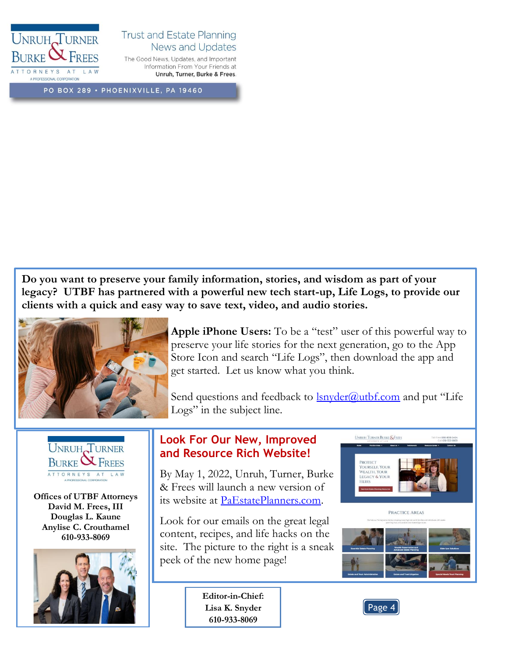

#### **Trust and Estate Planning** News and Updates

The Good News, Updates, and Important Information From Your Friends at Unruh, Turner, Burke & Frees.

PO BOX 289 · PHOENIXVILLE, PA 19460

**Do you want to preserve your family information, stories, and wisdom as part of your legacy? UTBF has partnered with a powerful new tech start-up, Life Logs, to provide our clients with a quick and easy way to save text, video, and audio stories.**



**Apple iPhone Users:** To be a "test" user of this powerful way to preserve your life stories for the next generation, go to the App Store Icon and search "Life Logs", then download the app and get started. Let us know what you think.

Send questions and feedback to **lsnyder@utbf.com** and put "Life Logs" in the subject line.



**Offices of UTBF Attorneys David M. Frees, III Douglas L. Kaune Anylise C. Crouthamel 610-933-8069**



## **Look For Our New, Improved and Resource Rich Website!**

By May 1, 2022, Unruh, Turner, Burke & Frees will launch a new version of its website at [PaEstatePlanners.com.](https://www.paestateplanners.com/)

Look for our emails on the great legal content, recipes, and life hacks on the site. The picture to the right is a sneak peek of the new home page!

> **Editor-in-Chief: Lisa K. Snyder 610-933-8069**





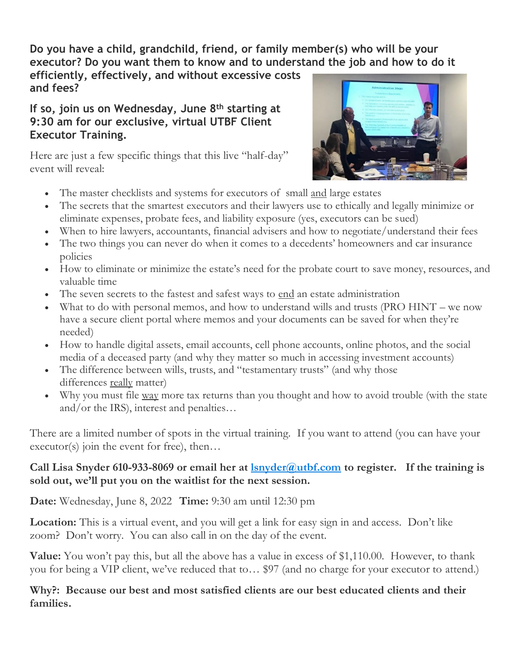**Do you have a child, grandchild, friend, or family member(s) who will be your executor? Do you want them to know and to understand the job and how to do it** 

**efficiently, effectively, and without excessive costs and fees?**

## **If so, join us on Wednesday, June 8th starting at 9:30 am for our exclusive, virtual UTBF Client Executor Training.**

Here are just a few specific things that this live "half-day" event will reveal:



- The master checklists and systems for executors of small and large estates
- The secrets that the smartest executors and their lawyers use to ethically and legally minimize or eliminate expenses, probate fees, and liability exposure (yes, executors can be sued)
- When to hire lawyers, accountants, financial advisers and how to negotiate/understand their fees
- The two things you can never do when it comes to a decedents' homeowners and car insurance policies
- How to eliminate or minimize the estate's need for the probate court to save money, resources, and valuable time
- The seven secrets to the fastest and safest ways to end an estate administration
- What to do with personal memos, and how to understand wills and trusts (PRO HINT we now have a secure client portal where memos and your documents can be saved for when they're needed)
- How to handle digital assets, email accounts, cell phone accounts, online photos, and the social media of a deceased party (and why they matter so much in accessing investment accounts)
- The difference between wills, trusts, and "testamentary trusts" (and why those differences really matter)
- Why you must file way more tax returns than you thought and how to avoid trouble (with the state and/or the IRS), interest and penalties…

There are a limited number of spots in the virtual training. If you want to attend (you can have your executor(s) join the event for free), then...

## **Call Lisa Snyder 610-933-8069 or email her at [lsnyder@utbf.com](mailto:lsnyder@utbf.com) to register. If the training is sold out, we'll put you on the waitlist for the next session.**

**Date:** Wednesday, June 8, 2022 **Time:** 9:30 am until 12:30 pm

**Location:** This is a virtual event, and you will get a link for easy sign in and access. Don't like zoom? Don't worry. You can also call in on the day of the event.

**Value:** You won't pay this, but all the above has a value in excess of \$1,110.00. However, to thank you for being a VIP client, we've reduced that to… \$97 (and no charge for your executor to attend.)

## **Why?: Because our best and most satisfied clients are our best educated clients and their families.**